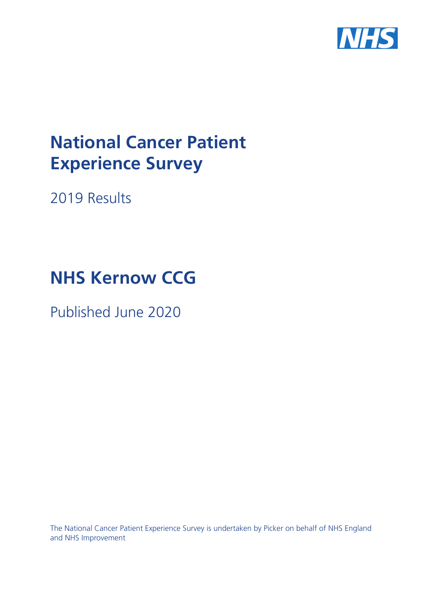

# **National Cancer Patient Experience Survey**

2019 Results

# **NHS Kernow CCG**

Published June 2020

The National Cancer Patient Experience Survey is undertaken by Picker on behalf of NHS England and NHS Improvement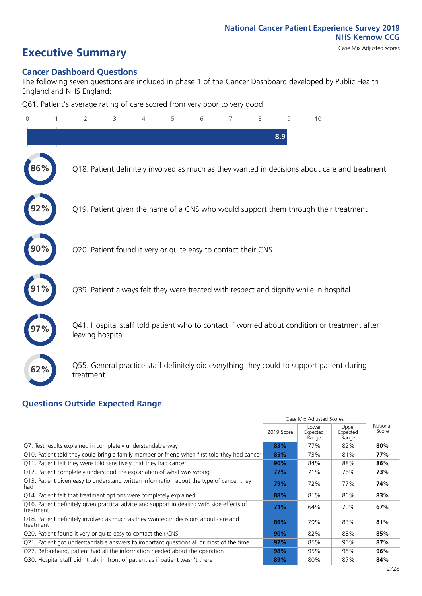# **Executive Summary** Case Mix Adjusted scores

# **Cancer Dashboard Questions**

The following seven questions are included in phase 1 of the Cancer Dashboard developed by Public Health England and NHS England:

Q61. Patient's average rating of care scored from very poor to very good

| $\mathbf 0$ | $\overline{2}$   | 3                                                             | 4 | 5 | 6 | 8 | q   | 10                                                                                            |  |
|-------------|------------------|---------------------------------------------------------------|---|---|---|---|-----|-----------------------------------------------------------------------------------------------|--|
|             |                  |                                                               |   |   |   |   | 8.9 |                                                                                               |  |
| 86%         |                  |                                                               |   |   |   |   |     | Q18. Patient definitely involved as much as they wanted in decisions about care and treatment |  |
| 92%         |                  |                                                               |   |   |   |   |     | Q19. Patient given the name of a CNS who would support them through their treatment           |  |
| 90%         |                  | Q20. Patient found it very or quite easy to contact their CNS |   |   |   |   |     |                                                                                               |  |
| 91%         |                  |                                                               |   |   |   |   |     | Q39. Patient always felt they were treated with respect and dignity while in hospital         |  |
| 97%         | leaving hospital |                                                               |   |   |   |   |     | Q41. Hospital staff told patient who to contact if worried about condition or treatment after |  |
| 62%         | treatment        |                                                               |   |   |   |   |     | Q55. General practice staff definitely did everything they could to support patient during    |  |
|             |                  |                                                               |   |   |   |   |     |                                                                                               |  |

## **Questions Outside Expected Range**

|                                                                                                         |            | Case Mix Adjusted Scores   |                            |                   |  |
|---------------------------------------------------------------------------------------------------------|------------|----------------------------|----------------------------|-------------------|--|
|                                                                                                         | 2019 Score | Lower<br>Expected<br>Range | Upper<br>Expected<br>Range | National<br>Score |  |
| Q7. Test results explained in completely understandable way                                             | 83%        | 77%                        | 82%                        | 80%               |  |
| Q10. Patient told they could bring a family member or friend when first told they had cancer            | 85%        | 73%                        | 81%                        | 77%               |  |
| Q11. Patient felt they were told sensitively that they had cancer                                       | 90%        | 84%                        | 88%                        | 86%               |  |
| Q12. Patient completely understood the explanation of what was wrong                                    | 77%        | 71%                        | 76%                        | 73%               |  |
| Q13. Patient given easy to understand written information about the type of cancer they<br>had          | 79%        | 72%                        | 77%                        | 74%               |  |
| Q14. Patient felt that treatment options were completely explained                                      | 88%        | 81%                        | 86%                        | 83%               |  |
| Q16. Patient definitely given practical advice and support in dealing with side effects of<br>treatment | 71%        | 64%                        | 70%                        | 67%               |  |
| Q18. Patient definitely involved as much as they wanted in decisions about care and<br>treatment        | 86%        | 79%                        | 83%                        | 81%               |  |
| Q20. Patient found it very or quite easy to contact their CNS                                           | 90%        | 82%                        | 88%                        | 85%               |  |
| Q21. Patient got understandable answers to important questions all or most of the time                  | 92%        | 85%                        | 90%                        | 87%               |  |
| Q27. Beforehand, patient had all the information needed about the operation                             | 98%        | 95%                        | 98%                        | 96%               |  |
| Q30. Hospital staff didn't talk in front of patient as if patient wasn't there                          | 89%        | 80%                        | 87%                        | 84%               |  |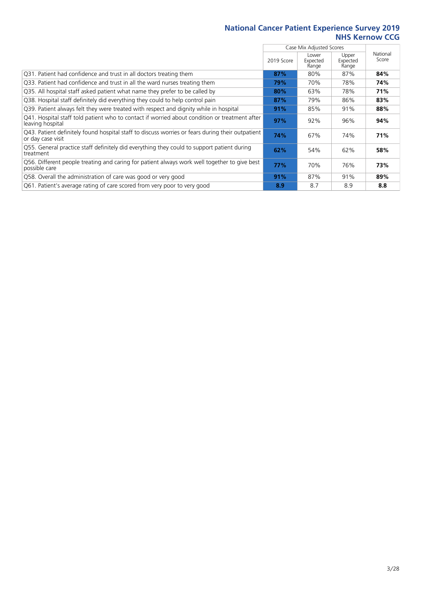|                                                                                                                       |            | Case Mix Adjusted Scores   |                            |                   |  |  |
|-----------------------------------------------------------------------------------------------------------------------|------------|----------------------------|----------------------------|-------------------|--|--|
|                                                                                                                       | 2019 Score | Lower<br>Expected<br>Range | Upper<br>Expected<br>Range | National<br>Score |  |  |
| Q31. Patient had confidence and trust in all doctors treating them                                                    | 87%        | 80%                        | 87%                        | 84%               |  |  |
| Q33. Patient had confidence and trust in all the ward nurses treating them                                            | 79%        | 70%                        | 78%                        | 74%               |  |  |
| Q35. All hospital staff asked patient what name they prefer to be called by                                           | 80%        | 63%                        | 78%                        | 71%               |  |  |
| Q38. Hospital staff definitely did everything they could to help control pain                                         | 87%        | 79%                        | 86%                        | 83%               |  |  |
| Q39. Patient always felt they were treated with respect and dignity while in hospital                                 | 91%        | 85%                        | 91%                        | 88%               |  |  |
| Q41. Hospital staff told patient who to contact if worried about condition or treatment after<br>leaving hospital     | 97%        | 92%                        | 96%                        | 94%               |  |  |
| Q43. Patient definitely found hospital staff to discuss worries or fears during their outpatient<br>or day case visit | 74%        | 67%                        | 74%                        | 71%               |  |  |
| Q55. General practice staff definitely did everything they could to support patient during<br>treatment               | 62%        | 54%                        | 62%                        | 58%               |  |  |
| Q56. Different people treating and caring for patient always work well together to give best<br>possible care         | 77%        | 70%                        | 76%                        | 73%               |  |  |
| Q58. Overall the administration of care was good or very good                                                         | 91%        | 87%                        | 91%                        | 89%               |  |  |
| Q61. Patient's average rating of care scored from very poor to very good                                              | 8.9        | 8.7                        | 8.9                        | 8.8               |  |  |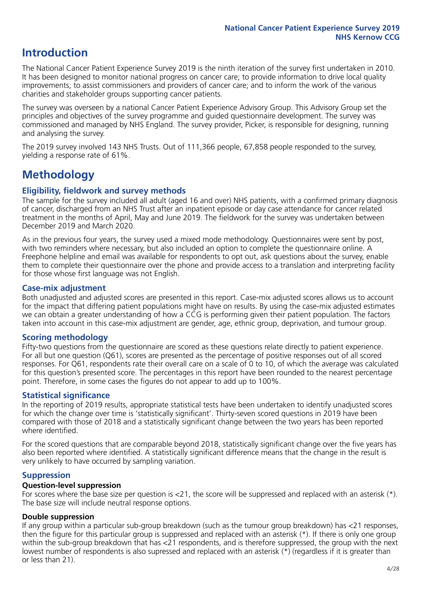# **Introduction**

The National Cancer Patient Experience Survey 2019 is the ninth iteration of the survey first undertaken in 2010. It has been designed to monitor national progress on cancer care; to provide information to drive local quality improvements; to assist commissioners and providers of cancer care; and to inform the work of the various charities and stakeholder groups supporting cancer patients.

The survey was overseen by a national Cancer Patient Experience Advisory Group. This Advisory Group set the principles and objectives of the survey programme and guided questionnaire development. The survey was commissioned and managed by NHS England. The survey provider, Picker, is responsible for designing, running and analysing the survey.

The 2019 survey involved 143 NHS Trusts. Out of 111,366 people, 67,858 people responded to the survey, yielding a response rate of 61%.

# **Methodology**

### **Eligibility, eldwork and survey methods**

The sample for the survey included all adult (aged 16 and over) NHS patients, with a confirmed primary diagnosis of cancer, discharged from an NHS Trust after an inpatient episode or day case attendance for cancer related treatment in the months of April, May and June 2019. The fieldwork for the survey was undertaken between December 2019 and March 2020.

As in the previous four years, the survey used a mixed mode methodology. Questionnaires were sent by post, with two reminders where necessary, but also included an option to complete the questionnaire online. A Freephone helpline and email was available for respondents to opt out, ask questions about the survey, enable them to complete their questionnaire over the phone and provide access to a translation and interpreting facility for those whose first language was not English.

### **Case-mix adjustment**

Both unadjusted and adjusted scores are presented in this report. Case-mix adjusted scores allows us to account for the impact that differing patient populations might have on results. By using the case-mix adjusted estimates we can obtain a greater understanding of how a CCG is performing given their patient population. The factors taken into account in this case-mix adjustment are gender, age, ethnic group, deprivation, and tumour group.

## **Scoring methodology**

Fifty-two questions from the questionnaire are scored as these questions relate directly to patient experience. For all but one question (Q61), scores are presented as the percentage of positive responses out of all scored responses. For Q61, respondents rate their overall care on a scale of 0 to 10, of which the average was calculated for this question's presented score. The percentages in this report have been rounded to the nearest percentage point. Therefore, in some cases the figures do not appear to add up to 100%.

### **Statistical significance**

In the reporting of 2019 results, appropriate statistical tests have been undertaken to identify unadjusted scores for which the change over time is 'statistically significant'. Thirty-seven scored questions in 2019 have been compared with those of 2018 and a statistically significant change between the two years has been reported where identified.

For the scored questions that are comparable beyond 2018, statistically significant change over the five years has also been reported where identified. A statistically significant difference means that the change in the result is very unlikely to have occurred by sampling variation.

### **Suppression**

#### **Question-level suppression**

For scores where the base size per question is  $<$ 21, the score will be suppressed and replaced with an asterisk (\*). The base size will include neutral response options.

### **Double suppression**

If any group within a particular sub-group breakdown (such as the tumour group breakdown) has <21 responses, then the figure for this particular group is suppressed and replaced with an asterisk (\*). If there is only one group within the sub-group breakdown that has <21 respondents, and is therefore suppressed, the group with the next lowest number of respondents is also supressed and replaced with an asterisk (\*) (regardless if it is greater than or less than 21).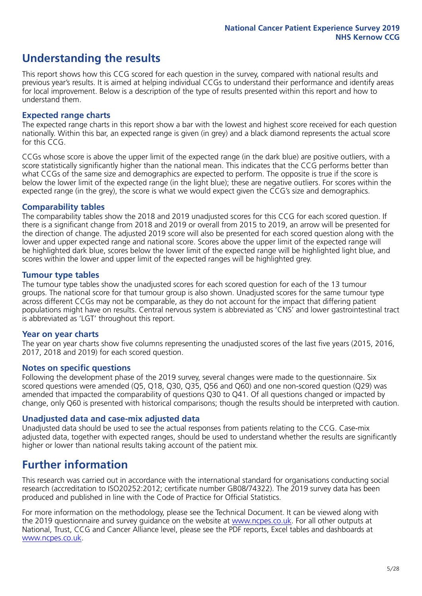# **Understanding the results**

This report shows how this CCG scored for each question in the survey, compared with national results and previous year's results. It is aimed at helping individual CCGs to understand their performance and identify areas for local improvement. Below is a description of the type of results presented within this report and how to understand them.

### **Expected range charts**

The expected range charts in this report show a bar with the lowest and highest score received for each question nationally. Within this bar, an expected range is given (in grey) and a black diamond represents the actual score for this CCG.

CCGs whose score is above the upper limit of the expected range (in the dark blue) are positive outliers, with a score statistically significantly higher than the national mean. This indicates that the CCG performs better than what CCGs of the same size and demographics are expected to perform. The opposite is true if the score is below the lower limit of the expected range (in the light blue); these are negative outliers. For scores within the expected range (in the grey), the score is what we would expect given the CCG's size and demographics.

### **Comparability tables**

The comparability tables show the 2018 and 2019 unadjusted scores for this CCG for each scored question. If there is a significant change from 2018 and 2019 or overall from 2015 to 2019, an arrow will be presented for the direction of change. The adjusted 2019 score will also be presented for each scored question along with the lower and upper expected range and national score. Scores above the upper limit of the expected range will be highlighted dark blue, scores below the lower limit of the expected range will be highlighted light blue, and scores within the lower and upper limit of the expected ranges will be highlighted grey.

### **Tumour type tables**

The tumour type tables show the unadjusted scores for each scored question for each of the 13 tumour groups. The national score for that tumour group is also shown. Unadjusted scores for the same tumour type across different CCGs may not be comparable, as they do not account for the impact that differing patient populations might have on results. Central nervous system is abbreviated as 'CNS' and lower gastrointestinal tract is abbreviated as 'LGT' throughout this report.

### **Year on year charts**

The year on year charts show five columns representing the unadjusted scores of the last five years (2015, 2016, 2017, 2018 and 2019) for each scored question.

#### **Notes on specific questions**

Following the development phase of the 2019 survey, several changes were made to the questionnaire. Six scored questions were amended (Q5, Q18, Q30, Q35, Q56 and Q60) and one non-scored question (Q29) was amended that impacted the comparability of questions Q30 to Q41. Of all questions changed or impacted by change, only Q60 is presented with historical comparisons; though the results should be interpreted with caution.

### **Unadjusted data and case-mix adjusted data**

Unadjusted data should be used to see the actual responses from patients relating to the CCG. Case-mix adjusted data, together with expected ranges, should be used to understand whether the results are significantly higher or lower than national results taking account of the patient mix.

# **Further information**

This research was carried out in accordance with the international standard for organisations conducting social research (accreditation to ISO20252:2012; certificate number GB08/74322). The 2019 survey data has been produced and published in line with the Code of Practice for Official Statistics.

For more information on the methodology, please see the Technical Document. It can be viewed along with the 2019 questionnaire and survey quidance on the website at [www.ncpes.co.uk](https://www.ncpes.co.uk/supporting-documents). For all other outputs at National, Trust, CCG and Cancer Alliance level, please see the PDF reports, Excel tables and dashboards at [www.ncpes.co.uk.](https://www.ncpes.co.uk/current-results)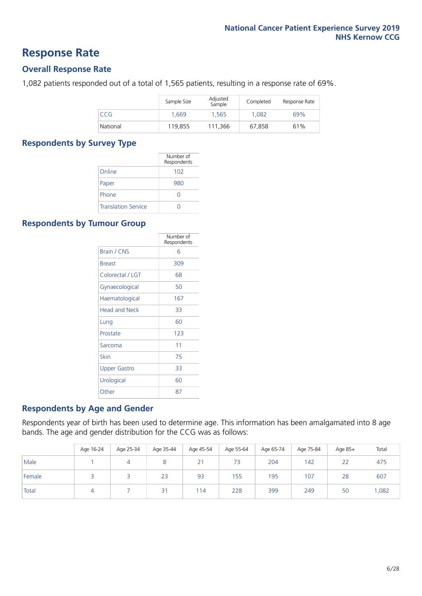## **Response Rate**

### **Overall Response Rate**

1,082 patients responded out of a total of 1,565 patients, resulting in a response rate of 69%.

|          | Sample Size | Adjusted<br>Sample | Completed | Response Rate |
|----------|-------------|--------------------|-----------|---------------|
| CCG      | 1.669       | 1.565              | 1.082     | 69%           |
| National | 119,855     | 111.366            | 67.858    | 61%           |

### **Respondents by Survey Type**

|                            | Number of<br>Respondents |
|----------------------------|--------------------------|
| Online                     | 102                      |
| Paper                      | 980                      |
| Phone                      | $\left( \right)$         |
| <b>Translation Service</b> |                          |

### **Respondents by Tumour Group**

|                      | Number of<br>Respondents |
|----------------------|--------------------------|
| Brain / CNS          | հ                        |
| <b>Breast</b>        | 309                      |
| Colorectal / LGT     | 68                       |
| Gynaecological       | 50                       |
| Haematological       | 167                      |
| <b>Head and Neck</b> | 33                       |
| Lung                 | 60                       |
| Prostate             | 123                      |
| Sarcoma              | 11                       |
| Skin                 | 75                       |
| Upper Gastro         | 33                       |
| Urological           | 60                       |
| Other                | 87                       |

### **Respondents by Age and Gender**

Respondents year of birth has been used to determine age. This information has been amalgamated into 8 age bands. The age and gender distribution for the CCG was as follows:

|        | Age 16-24 | Age 25-34 | Age 35-44 | Age 45-54 | Age 55-64 | Age 65-74 | Age 75-84 | Age 85+ | Total |
|--------|-----------|-----------|-----------|-----------|-----------|-----------|-----------|---------|-------|
| Male   |           |           |           | 21        | 73        | 204       | 142       | 22      | 475   |
| Female |           |           | 23        | 93        | 155       | 195       | 107       | 28      | 607   |
| Total  |           |           | 31        | 114       | 228       | 399       | 249       | 50      | 1,082 |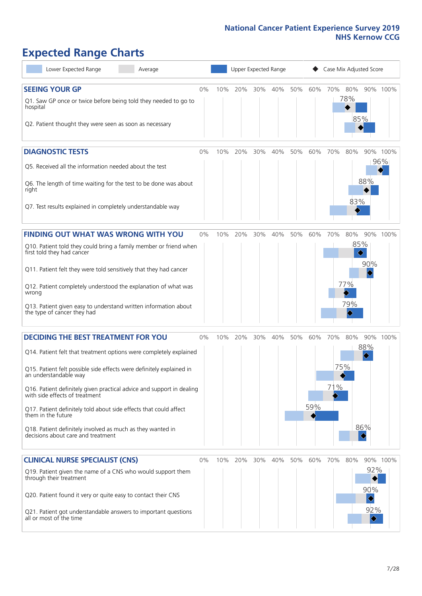# **Expected Range Charts**

| Lower Expected Range<br>Average                                                                                                        |       |     | Upper Expected Range |     |     |     |     | Case Mix Adjusted Score |            |                               |          |
|----------------------------------------------------------------------------------------------------------------------------------------|-------|-----|----------------------|-----|-----|-----|-----|-------------------------|------------|-------------------------------|----------|
| <b>SEEING YOUR GP</b>                                                                                                                  | 0%    | 10% | 20%                  | 30% | 40% | 50% | 60% | 70%                     | 80%        |                               | 90% 100% |
| Q1. Saw GP once or twice before being told they needed to go to<br>hospital<br>Q2. Patient thought they were seen as soon as necessary |       |     |                      |     |     |     |     |                         | 78%<br>85% |                               |          |
| <b>DIAGNOSTIC TESTS</b>                                                                                                                | $0\%$ | 10% | 20%                  | 30% | 40% | 50% | 60% | 70%                     | 80%        |                               | 90% 100% |
| Q5. Received all the information needed about the test                                                                                 |       |     |                      |     |     |     |     |                         |            |                               | 96%      |
| Q6. The length of time waiting for the test to be done was about<br>right                                                              |       |     |                      |     |     |     |     |                         |            | 88%                           |          |
| Q7. Test results explained in completely understandable way                                                                            |       |     |                      |     |     |     |     |                         | 83%        |                               |          |
| <b>FINDING OUT WHAT WAS WRONG WITH YOU</b>                                                                                             | $0\%$ | 10% | 20%                  | 30% | 40% | 50% | 60% | 70%                     | 80%        |                               | 90% 100% |
| Q10. Patient told they could bring a family member or friend when<br>first told they had cancer                                        |       |     |                      |     |     |     |     |                         | 85%<br>♦   |                               |          |
| Q11. Patient felt they were told sensitively that they had cancer                                                                      |       |     |                      |     |     |     |     |                         |            | 90%                           |          |
| Q12. Patient completely understood the explanation of what was<br>wrong                                                                |       |     |                      |     |     |     |     |                         | 77%        |                               |          |
| Q13. Patient given easy to understand written information about<br>the type of cancer they had                                         |       |     |                      |     |     |     |     |                         | 79%<br>♦   |                               |          |
| <b>DECIDING THE BEST TREATMENT FOR YOU</b>                                                                                             | 0%    | 10% | 20%                  | 30% | 40% | 50% | 60% | 70%                     | 80%        | 90%                           | 100%     |
| Q14. Patient felt that treatment options were completely explained                                                                     |       |     |                      |     |     |     |     |                         |            | 88%                           |          |
| Q15. Patient felt possible side effects were definitely explained in<br>an understandable way                                          |       |     |                      |     |     |     |     |                         | 75%        |                               |          |
| Q16. Patient definitely given practical advice and support in dealing<br>with side effects of treatment                                |       |     |                      |     |     |     |     | 71%                     |            |                               |          |
| Q17. Patient definitely told about side effects that could affect<br>them in the future                                                |       |     |                      |     |     |     | 59% |                         |            |                               |          |
| Q18. Patient definitely involved as much as they wanted in<br>decisions about care and treatment                                       |       |     |                      |     |     |     |     |                         |            | 86%<br>♦                      |          |
| <b>CLINICAL NURSE SPECIALIST (CNS)</b>                                                                                                 | 0%    | 10% | 20%                  | 30% | 40% | 50% | 60% | 70%                     | 80%        |                               | 90% 100% |
| Q19. Patient given the name of a CNS who would support them<br>through their treatment                                                 |       |     |                      |     |     |     |     |                         |            | 92%                           |          |
| Q20. Patient found it very or quite easy to contact their CNS                                                                          |       |     |                      |     |     |     |     |                         |            | 90%<br>$\ddot{\blacklozenge}$ |          |
| Q21. Patient got understandable answers to important questions<br>all or most of the time                                              |       |     |                      |     |     |     |     |                         |            | 92%<br>$ \diamondsuit$        |          |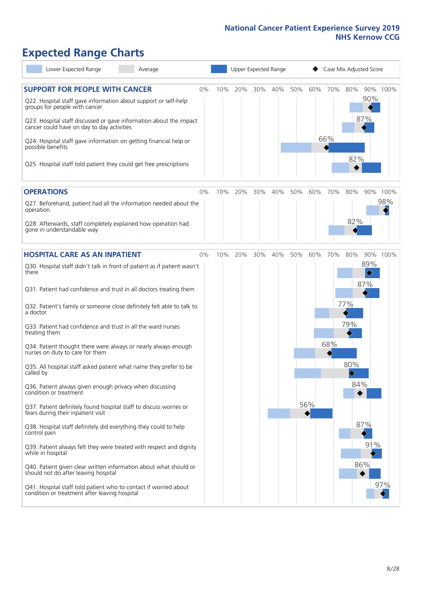# **Expected Range Charts**

| Lower Expected Range<br>Average                                                                                   |       | Upper Expected Range |     |     |     |     | Case Mix Adjusted Score |         |                                     |                                 |          |
|-------------------------------------------------------------------------------------------------------------------|-------|----------------------|-----|-----|-----|-----|-------------------------|---------|-------------------------------------|---------------------------------|----------|
| <b>SUPPORT FOR PEOPLE WITH CANCER</b><br>Q22. Hospital staff gave information about support or self-help          | 0%    | 10%                  | 20% | 30% | 40% | 50% |                         | 60% 70% | 80%                                 | 90%                             | 90% 100% |
| groups for people with cancer                                                                                     |       |                      |     |     |     |     |                         |         |                                     | 87%                             |          |
| Q23. Hospital staff discussed or gave information about the impact<br>cancer could have on day to day activities  |       |                      |     |     |     |     |                         |         |                                     |                                 |          |
| Q24. Hospital staff gave information on getting financial help or<br>possible benefits                            |       |                      |     |     |     |     |                         | 66%     |                                     |                                 |          |
| Q25. Hospital staff told patient they could get free prescriptions                                                |       |                      |     |     |     |     |                         |         | 82%                                 |                                 |          |
| <b>OPERATIONS</b>                                                                                                 | $0\%$ | 10%                  | 20% | 30% | 40% | 50% | 60%                     | 70%     | 80%                                 |                                 | 90% 100% |
| Q27. Beforehand, patient had all the information needed about the<br>operation                                    |       |                      |     |     |     |     |                         |         |                                     |                                 | 98%      |
| Q28. Afterwards, staff completely explained how operation had<br>gone in understandable way                       |       |                      |     |     |     |     |                         |         | 82%                                 |                                 |          |
| <b>HOSPITAL CARE AS AN INPATIENT</b>                                                                              | $0\%$ | 10%                  | 20% | 30% | 40% | 50% | 60%                     | 70%     | 80%                                 |                                 | 90% 100% |
| Q30. Hospital staff didn't talk in front of patient as if patient wasn't<br>there                                 |       |                      |     |     |     |     |                         |         |                                     | 89%<br>$\color{black} \diamond$ |          |
| Q31. Patient had confidence and trust in all doctors treating them                                                |       |                      |     |     |     |     |                         |         |                                     | 87%                             |          |
| Q32. Patient's family or someone close definitely felt able to talk to<br>a doctor                                |       |                      |     |     |     |     |                         |         | 77%                                 |                                 |          |
| Q33. Patient had confidence and trust in all the ward nurses<br>treating them                                     |       |                      |     |     |     |     |                         |         | 79%                                 |                                 |          |
| Q34. Patient thought there were always or nearly always enough<br>nurses on duty to care for them                 |       |                      |     |     |     |     |                         | 68%     |                                     |                                 |          |
| Q35. All hospital staff asked patient what name they prefer to be<br>called by                                    |       |                      |     |     |     |     |                         |         | 80%<br>$\color{black}\blacklozenge$ |                                 |          |
| Q36. Patient always given enough privacy when discussing<br>condition or treatment                                |       |                      |     |     |     |     |                         |         | 84%                                 |                                 |          |
| Q37. Patient definitely found hospital staff to discuss worries or<br>fears during their inpatient visit          |       |                      |     |     |     |     | 56%                     |         |                                     |                                 |          |
| Q38. Hospital staff definitely did everything they could to help<br>control pain                                  |       |                      |     |     |     |     |                         |         |                                     | 87%                             |          |
| Q39. Patient always felt they were treated with respect and dignity<br>while in hospital                          |       |                      |     |     |     |     |                         |         |                                     | 91%                             |          |
| Q40. Patient given clear written information about what should or<br>should not do after leaving hospital         |       |                      |     |     |     |     |                         |         |                                     | 86%                             |          |
| Q41. Hospital staff told patient who to contact if worried about<br>condition or treatment after leaving hospital |       |                      |     |     |     |     |                         |         |                                     |                                 | 97%      |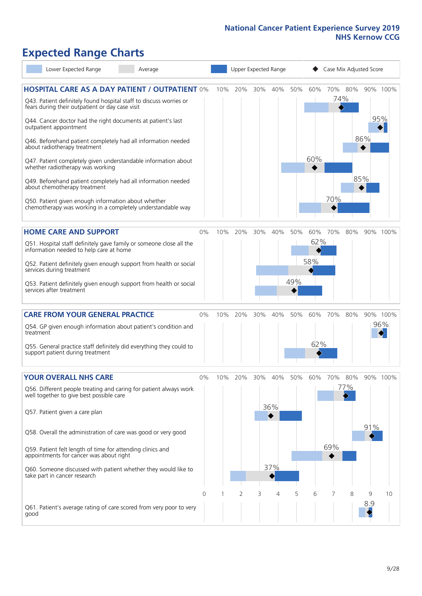# **Expected Range Charts**

| Lower Expected Range<br>Average                                                                                       |                | Upper Expected Range |     |     |     |     |     | Case Mix Adjusted Score |                |     |          |  |
|-----------------------------------------------------------------------------------------------------------------------|----------------|----------------------|-----|-----|-----|-----|-----|-------------------------|----------------|-----|----------|--|
| <b>HOSPITAL CARE AS A DAY PATIENT / OUTPATIENT 0%</b>                                                                 |                | 10%                  | 20% | 30% | 40% | 50% | 60% |                         | 70% 80%<br>74% |     | 90% 100% |  |
| Q43. Patient definitely found hospital staff to discuss worries or<br>fears during their outpatient or day case visit |                |                      |     |     |     |     |     |                         |                |     |          |  |
| Q44. Cancer doctor had the right documents at patient's last<br>outpatient appointment                                |                |                      |     |     |     |     |     |                         |                | 95% |          |  |
| Q46. Beforehand patient completely had all information needed<br>about radiotherapy treatment                         |                |                      |     |     |     |     |     |                         |                | 86% |          |  |
| Q47. Patient completely given understandable information about<br>whether radiotherapy was working                    |                |                      |     |     |     |     | 60% |                         |                |     |          |  |
| Q49. Beforehand patient completely had all information needed<br>about chemotherapy treatment                         |                |                      |     |     |     |     |     |                         |                | 85% |          |  |
| Q50. Patient given enough information about whether<br>chemotherapy was working in a completely understandable way    |                |                      |     |     |     |     |     | 70%                     |                |     |          |  |
| <b>HOME CARE AND SUPPORT</b>                                                                                          | 0%             | 10%                  | 20% | 30% | 40% | 50% | 60% | 70%                     | 80%            |     | 90% 100% |  |
| Q51. Hospital staff definitely gave family or someone close all the<br>information needed to help care at home        |                |                      |     |     |     |     | 62% |                         |                |     |          |  |
| Q52. Patient definitely given enough support from health or social<br>services during treatment                       |                |                      |     |     |     |     | 58% |                         |                |     |          |  |
| Q53. Patient definitely given enough support from health or social<br>services after treatment                        |                |                      |     |     |     | 49% |     |                         |                |     |          |  |
| <b>CARE FROM YOUR GENERAL PRACTICE</b>                                                                                | 0%             | 10%                  | 20% | 30% | 40% | 50% | 60% | 70%                     | 80%            |     | 90% 100% |  |
| Q54. GP given enough information about patient's condition and<br>treatment                                           |                |                      |     |     |     |     |     |                         |                |     | 96%      |  |
| Q55. General practice staff definitely did everything they could to<br>support patient during treatment               |                |                      |     |     |     |     | 62% |                         |                |     |          |  |
| <b>YOUR OVERALL NHS CARE</b>                                                                                          | 0%             | $10\%$               | 20% | 30% | 40% | 50% | 60% | 70%                     | 80%            |     | 90% 100% |  |
| Q56. Different people treating and caring for patient always work<br>well together to give best possible care         |                |                      |     |     |     |     |     |                         | 77%            |     |          |  |
| Q57. Patient given a care plan                                                                                        |                |                      |     |     | 36% |     |     |                         |                |     |          |  |
| Q58. Overall the administration of care was good or very good                                                         |                |                      |     |     |     |     |     |                         |                | 91% |          |  |
| Q59. Patient felt length of time for attending clinics and<br>appointments for cancer was about right                 |                |                      |     |     |     |     |     | 69%                     |                |     |          |  |
| Q60. Someone discussed with patient whether they would like to<br>take part in cancer research                        |                |                      |     |     | 37% |     |     |                         |                |     |          |  |
|                                                                                                                       | $\overline{0}$ |                      | 2   | 3   | 4   | 5   | 6   | 7                       | 8              | 9   | 10       |  |
| Q61. Patient's average rating of care scored from very poor to very<br>good                                           |                |                      |     |     |     |     |     |                         |                | 8.9 |          |  |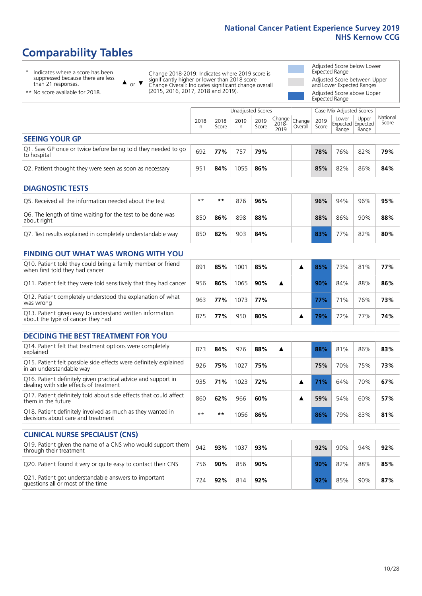Unadjusted Scores **Case Mix Adjusted Scores** 

# **Comparability Tables**

\* Indicates where a score has been suppressed because there are less suppressed because<br>than 21 responses.

 $\triangle$  or  $\nabla$ Change 2018-2019: Indicates where 2019 score is significantly higher or lower than 2018 score Change Overall: Indicates significant change overall (2015, 2016, 2017, 2018 and 2019).

Adjusted Score below Lower Expected Range Adjusted Score between Upper and Lower Expected Ranges Adjusted Score above Upper

Expected Range

| ** No score available for 2018. |  |
|---------------------------------|--|
|                                 |  |

|                                                                                                         | 2018<br>n | 2018<br>Score | 2019<br>n | 2019<br>Score | Change<br>2018-<br>2019 | Change<br>Overall | 2019<br>Score | Lower<br>Expected Expected<br>Range | Upper<br>Range | National<br>Score |
|---------------------------------------------------------------------------------------------------------|-----------|---------------|-----------|---------------|-------------------------|-------------------|---------------|-------------------------------------|----------------|-------------------|
| <b>SEEING YOUR GP</b>                                                                                   |           |               |           |               |                         |                   |               |                                     |                |                   |
| Q1. Saw GP once or twice before being told they needed to go<br>to hospital                             | 692       | 77%           | 757       | 79%           |                         |                   | 78%           | 76%                                 | 82%            | 79%               |
| Q2. Patient thought they were seen as soon as necessary                                                 | 951       | 84%           | 1055      | 86%           |                         |                   | 85%           | 82%                                 | 86%            | 84%               |
| <b>DIAGNOSTIC TESTS</b>                                                                                 |           |               |           |               |                         |                   |               |                                     |                |                   |
| Q5. Received all the information needed about the test                                                  | $* *$     | $***$         | 876       | 96%           |                         |                   | 96%           | 94%                                 | 96%            | 95%               |
| Q6. The length of time waiting for the test to be done was<br>about right                               | 850       | 86%           | 898       | 88%           |                         |                   | 88%           | 86%                                 | 90%            | 88%               |
| Q7. Test results explained in completely understandable way                                             | 850       | 82%           | 903       | 84%           |                         |                   | 83%           | 77%                                 | 82%            | 80%               |
| <b>FINDING OUT WHAT WAS WRONG WITH YOU</b>                                                              |           |               |           |               |                         |                   |               |                                     |                |                   |
| Q10. Patient told they could bring a family member or friend<br>when first told they had cancer         | 891       | 85%           | 1001      | 85%           |                         | ▲                 | 85%           | 73%                                 | 81%            | 77%               |
| Q11. Patient felt they were told sensitively that they had cancer                                       | 956       | 86%           | 1065      | 90%           | ▲                       |                   | 90%           | 84%                                 | 88%            | 86%               |
| Q12. Patient completely understood the explanation of what<br>was wrong                                 | 963       | 77%           | 1073      | 77%           |                         |                   | 77%           | 71%                                 | 76%            | 73%               |
| Q13. Patient given easy to understand written information<br>about the type of cancer they had          | 875       | 77%           | 950       | 80%           |                         | ▲                 | 79%           | 72%                                 | 77%            | 74%               |
| <b>DECIDING THE BEST TREATMENT FOR YOU</b>                                                              |           |               |           |               |                         |                   |               |                                     |                |                   |
| Q14. Patient felt that treatment options were completely<br>explained                                   | 873       | 84%           | 976       | 88%           | ▲                       |                   | 88%           | 81%                                 | 86%            | 83%               |
| Q15. Patient felt possible side effects were definitely explained<br>in an understandable way           | 926       | 75%           | 1027      | 75%           |                         |                   | 75%           | 70%                                 | 75%            | 73%               |
| Q16. Patient definitely given practical advice and support in<br>dealing with side effects of treatment | 935       | 71%           | 1023      | 72%           |                         | ▲                 | 71%           | 64%                                 | 70%            | 67%               |
| Q17. Patient definitely told about side effects that could affect<br>them in the future                 | 860       | 62%           | 966       | 60%           |                         | ▲                 | 59%           | 54%                                 | 60%            | 57%               |
| Q18. Patient definitely involved as much as they wanted in<br>decisions about care and treatment        | $* *$     | $***$         | 1056      | 86%           |                         |                   | 86%           | 79%                                 | 83%            | 81%               |
| <b>CLINICAL NURSE SPECIALIST (CNS)</b>                                                                  |           |               |           |               |                         |                   |               |                                     |                |                   |
| Q19. Patient given the name of a CNS who would support them<br>through their treatment                  | 942       | 93%           | 1037      | 93%           |                         |                   | 92%           | 90%                                 | 94%            | 92%               |
| Q20. Patient found it very or quite easy to contact their CNS                                           | 756       | 90%           | 856       | 90%           |                         |                   | 90%           | 82%                                 | 88%            | 85%               |
| Q21. Patient got understandable answers to important<br>questions all or most of the time               | 724       | 92%           | 814       | 92%           |                         |                   | 92%           | 85%                                 | 90%            | 87%               |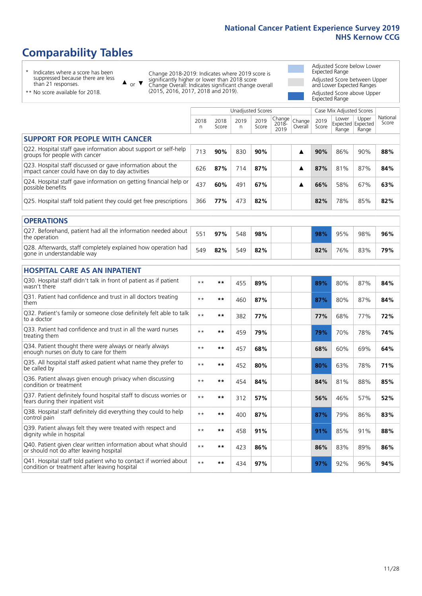# **Comparability Tables**

\* Indicates where a score has been suppressed because there are less than 21 responses.

\*\* No score available for 2018.

 $\triangle$  or  $\nabla$ 

Change 2018-2019: Indicates where 2019 score is significantly higher or lower than 2018 score Change Overall: Indicates significant change overall (2015, 2016, 2017, 2018 and 2019).

Adjusted Score below Lower Expected Range Adjusted Score between Upper and Lower Expected Ranges Adjusted Score above Upper Expected Range

|                                                                                                                   |              |               | <b>Unadjusted Scores</b> |               |                         |                   |               | Case Mix Adjusted Scores            |                |                   |
|-------------------------------------------------------------------------------------------------------------------|--------------|---------------|--------------------------|---------------|-------------------------|-------------------|---------------|-------------------------------------|----------------|-------------------|
|                                                                                                                   | 2018<br>n    | 2018<br>Score | 2019<br>$\mathsf{n}$     | 2019<br>Score | Change<br>2018-<br>2019 | Change<br>Overall | 2019<br>Score | Lower<br>Expected Expected<br>Range | Upper<br>Range | National<br>Score |
| <b>SUPPORT FOR PEOPLE WITH CANCER</b>                                                                             |              |               |                          |               |                         |                   |               |                                     |                |                   |
| Q22. Hospital staff gave information about support or self-help<br>groups for people with cancer                  | 713          | 90%           | 830                      | 90%           |                         | ▲                 | 90%           | 86%                                 | 90%            | 88%               |
| Q23. Hospital staff discussed or gave information about the<br>impact cancer could have on day to day activities  | 626          | 87%           | 714                      | 87%           |                         | ▲                 | 87%           | 81%                                 | 87%            | 84%               |
| Q24. Hospital staff gave information on getting financial help or<br>possible benefits                            | 437          | 60%           | 491                      | 67%           |                         | ▲                 | 66%           | 58%                                 | 67%            | 63%               |
| Q25. Hospital staff told patient they could get free prescriptions                                                | 366          | 77%           | 473                      | 82%           |                         |                   | 82%           | 78%                                 | 85%            | 82%               |
| <b>OPERATIONS</b>                                                                                                 |              |               |                          |               |                         |                   |               |                                     |                |                   |
| Q27. Beforehand, patient had all the information needed about<br>the operation                                    | 551          | 97%           | 548                      | 98%           |                         |                   | 98%           | 95%                                 | 98%            | 96%               |
| Q28. Afterwards, staff completely explained how operation had<br>gone in understandable way                       | 549          | 82%           | 549                      | 82%           |                         |                   | 82%           | 76%                                 | 83%            | 79%               |
| <b>HOSPITAL CARE AS AN INPATIENT</b>                                                                              |              |               |                          |               |                         |                   |               |                                     |                |                   |
| Q30. Hospital staff didn't talk in front of patient as if patient<br>wasn't there                                 | $* *$        | $***$         | 455                      | 89%           |                         |                   | 89%           | 80%                                 | 87%            | 84%               |
| Q31. Patient had confidence and trust in all doctors treating<br>them                                             | $* *$        | $***$         | 460                      | 87%           |                         |                   | 87%           | 80%                                 | 87%            | 84%               |
| Q32. Patient's family or someone close definitely felt able to talk<br>to a doctor                                | $* *$        | $***$         | 382                      | 77%           |                         |                   | 77%           | 68%                                 | 77%            | 72%               |
| Q33. Patient had confidence and trust in all the ward nurses<br>treating them                                     | $* *$        | $***$         | 459                      | 79%           |                         |                   | 79%           | 70%                                 | 78%            | 74%               |
| Q34. Patient thought there were always or nearly always<br>enough nurses on duty to care for them                 | $* *$        | $***$         | 457                      | 68%           |                         |                   | 68%           | 60%                                 | 69%            | 64%               |
| Q35. All hospital staff asked patient what name they prefer to<br>be called by                                    | $* *$        | $***$         | 452                      | 80%           |                         |                   | 80%           | 63%                                 | 78%            | 71%               |
| Q36. Patient always given enough privacy when discussing<br>condition or treatment                                | $\star\star$ | $***$         | 454                      | 84%           |                         |                   | 84%           | 81%                                 | 88%            | 85%               |
| Q37. Patient definitely found hospital staff to discuss worries or<br>fears during their inpatient visit          | $* *$        | $***$         | 312                      | 57%           |                         |                   | 56%           | 46%                                 | 57%            | 52%               |
| Q38. Hospital staff definitely did everything they could to help<br>control pain                                  | $* *$        | $***$         | 400                      | 87%           |                         |                   | 87%           | 79%                                 | 86%            | 83%               |
| Q39. Patient always felt they were treated with respect and<br>dignity while in hospital                          | $***$        | $***$         | 458                      | 91%           |                         |                   | 91%           | 85%                                 | 91%            | 88%               |
| Q40. Patient given clear written information about what should<br>or should not do after leaving hospital         | $* *$        | $***$         | 423                      | 86%           |                         |                   | 86%           | 83%                                 | 89%            | 86%               |
| Q41. Hospital staff told patient who to contact if worried about<br>condition or treatment after leaving hospital | $**$         | **            | 434                      | 97%           |                         |                   | 97%           | 92%                                 | 96%            | 94%               |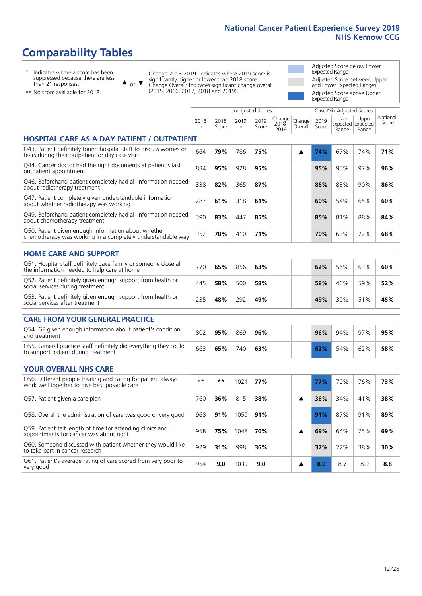Unadjusted Scores **Case Mix Adjusted Scores** 

# **Comparability Tables**

\* Indicates where a score has been suppressed because there are less than 21 responses.

 $\triangle$  or  $\nabla$ 

Change 2018-2019: Indicates where 2019 score is significantly higher or lower than 2018 score Change Overall: Indicates significant change overall (2015, 2016, 2017, 2018 and 2019).

Adjusted Score below Lower Expected Range Adjusted Score between Upper and Lower Expected Ranges Adjusted Score above Upper Expected Range

| ** No score available for 2018. |
|---------------------------------|
|---------------------------------|

|                                                                                                                       | 2018<br>n | 2018<br>Score | 2019<br>n. | 2019<br>Score | Change<br>2018-<br>2019 | Change<br>Overall | 2019<br>Score | Lower<br>Range | Upper<br>Expected Expected<br>Range | National<br>Score |
|-----------------------------------------------------------------------------------------------------------------------|-----------|---------------|------------|---------------|-------------------------|-------------------|---------------|----------------|-------------------------------------|-------------------|
| <b>HOSPITAL CARE AS A DAY PATIENT / OUTPATIENT</b>                                                                    |           |               |            |               |                         |                   |               |                |                                     |                   |
| Q43. Patient definitely found hospital staff to discuss worries or<br>fears during their outpatient or day case visit | 664       | 79%           | 786        | 75%           |                         | ▲                 | 74%           | 67%            | 74%                                 | 71%               |
| Q44. Cancer doctor had the right documents at patient's last<br>outpatient appointment                                | 834       | 95%           | 928        | 95%           |                         |                   | 95%           | 95%            | 97%                                 | 96%               |
| Q46. Beforehand patient completely had all information needed<br>about radiotherapy treatment                         | 338       | 82%           | 365        | 87%           |                         |                   | 86%           | 83%            | 90%                                 | 86%               |
| Q47. Patient completely given understandable information<br>about whether radiotherapy was working                    | 287       | 61%           | 318        | 61%           |                         |                   | 60%           | 54%            | 65%                                 | 60%               |
| Q49. Beforehand patient completely had all information needed<br>about chemotherapy treatment                         | 390       | 83%           | 447        | 85%           |                         |                   | 85%           | 81%            | 88%                                 | 84%               |
| Q50. Patient given enough information about whether<br>chemotherapy was working in a completely understandable way    | 352       | 70%           | 410        | 71%           |                         |                   | 70%           | 63%            | 72%                                 | 68%               |
| <b>HOME CARE AND SUPPORT</b>                                                                                          |           |               |            |               |                         |                   |               |                |                                     |                   |
| Q51. Hospital staff definitely gave family or someone close all<br>the information needed to help care at home        | 770       | 65%           | 856        | 63%           |                         |                   | 62%           | 56%            | 63%                                 | 60%               |
| Q52. Patient definitely given enough support from health or<br>social services during treatment                       | 445       | 58%           | 500        | 58%           |                         |                   | 58%           | 46%            | 59%                                 | 52%               |
| Q53. Patient definitely given enough support from health or<br>social services after treatment                        | 235       | 48%           | 292        | 49%           |                         |                   | 49%           | 39%            | 51%                                 | 45%               |
| <b>CARE FROM YOUR GENERAL PRACTICE</b>                                                                                |           |               |            |               |                         |                   |               |                |                                     |                   |
| Q54. GP given enough information about patient's condition<br>and treatment                                           | 802       | 95%           | 869        | 96%           |                         |                   | 96%           | 94%            | 97%                                 | 95%               |
| Q55. General practice staff definitely did everything they could<br>to support patient during treatment               | 663       | 65%           | 740        | 63%           |                         |                   | 62%           | 54%            | 62%                                 | 58%               |
| <b>YOUR OVERALL NHS CARE</b>                                                                                          |           |               |            |               |                         |                   |               |                |                                     |                   |
| Q56. Different people treating and caring for patient always<br>work well together to give best possible care         | $* *$     | **            | 1021       | 77%           |                         |                   | 77%           | 70%            | 76%                                 | 73%               |
| Q57. Patient given a care plan                                                                                        | 760       | 36%           | 815        | 38%           |                         | ▲                 | 36%           | 34%            | 41%                                 | 38%               |
| Q58. Overall the administration of care was good or very good                                                         | 968       | 91%           | 1059       | 91%           |                         |                   | 91%           | 87%            | 91%                                 | 89%               |
| Q59. Patient felt length of time for attending clinics and<br>appointments for cancer was about right                 | 958       | 75%           | 1048       | 70%           |                         | ▲                 | 69%           | 64%            | 75%                                 | 69%               |
| Q60. Someone discussed with patient whether they would like<br>to take part in cancer research                        | 929       | 31%           | 998        | 36%           |                         |                   | 37%           | 22%            | 38%                                 | 30%               |
| Q61. Patient's average rating of care scored from very poor to<br>very good                                           | 954       | 9.0           | 1039       | 9.0           |                         | ▲                 | 8.9           | 8.7            | 8.9                                 | 8.8               |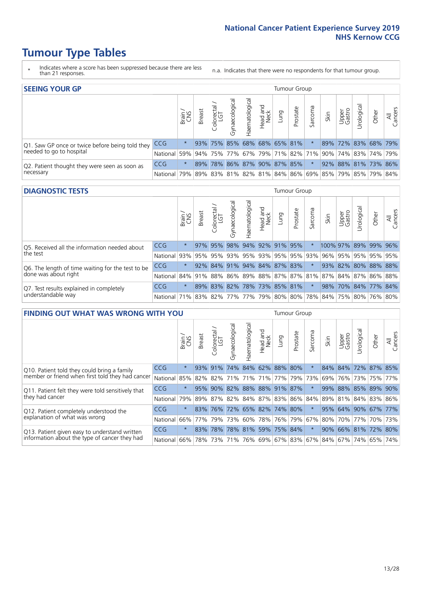- \* Indicates where a score has been suppressed because there are less than 21 responses.
- n.a. Indicates that there were no respondents for that tumour group.

| <b>SEEING YOUR GP</b>                           |            |              |               |                  |                    |                |                             |      | Tumour Group |         |      |                 |                                                     |       |                |
|-------------------------------------------------|------------|--------------|---------------|------------------|--------------------|----------------|-----------------------------|------|--------------|---------|------|-----------------|-----------------------------------------------------|-------|----------------|
|                                                 |            | Brain<br>CNS | <b>Breast</b> | olorectal<br>LGT | ᠊ᢛ<br>Gynaecologic | Haematological | Head and<br>Neck            | Lung | Prostate     | Sarcoma | Skin | Upper<br>Gastro | $\sigma$<br>Jrologica                               | Other | All<br>Cancers |
| Q1. Saw GP once or twice before being told they | <b>CCG</b> | $\star$      |               |                  |                    |                | 93% 75% 85% 68% 68% 65% 81% |      |              |         |      |                 | 89% 72% 83% 68% 79%                                 |       |                |
| needed to go to hospital                        | National   | 59%          |               |                  |                    |                |                             |      |              |         |      |                 | 94% 75% 77% 67% 79% 71% 82% 71% 90% 74% 83% 74% 79% |       |                |
| Q2. Patient thought they were seen as soon as   | <b>CCG</b> | $\star$      | 89%           |                  |                    |                | 78% 86% 87% 90% 87% 85%     |      |              |         |      |                 | 92% 88% 81% 73% 86%                                 |       |                |
| necessary                                       | National   | 79%          |               |                  |                    |                |                             |      |              |         |      |                 | 89% 83% 81% 82% 81% 84% 86% 69% 85% 79% 85% 79% 84% |       |                |

#### **DIAGNOSTIC TESTS** Tumour Group

|                                                   |                                                                  | S<br>CNS | <b>Breast</b> | Colorectal<br>LGT | $\overline{\sigma}$<br>Gynaecologic | Haematological      | Head and<br>Neck | Lung | Prostate                    | Sarcoma | Skin | Upper<br>Gastro | Irological           | Other | All<br>Cancers |
|---------------------------------------------------|------------------------------------------------------------------|----------|---------------|-------------------|-------------------------------------|---------------------|------------------|------|-----------------------------|---------|------|-----------------|----------------------|-------|----------------|
| Q5. Received all the information needed about     | <b>CCG</b>                                                       | $\star$  |               | 97% 95%           |                                     | 98% 94% 92% 91% 95% |                  |      |                             |         |      |                 | 100% 97% 89% 99% 96% |       |                |
| the test                                          | National                                                         | 93%      | 95%           | 95%               |                                     |                     |                  |      | 93% 95% 93% 95% 95% 93%     |         | 96%  |                 | 95% 95% 95% 95%      |       |                |
| Q6. The length of time waiting for the test to be | <b>CCG</b>                                                       | $^\star$ |               |                   |                                     |                     |                  |      | 92% 84% 91% 94% 84% 87% 83% |         |      |                 | 93% 82% 80% 88% 88%  |       |                |
| done was about right                              | National 84% 91% 88% 86% 89% 88% 87% 87% 81% 87% 84% 87% 86% 88% |          |               |                   |                                     |                     |                  |      |                             |         |      |                 |                      |       |                |
| Q7. Test results explained in completely          | <b>CCG</b>                                                       | $\star$  |               | 89% 83%           |                                     |                     |                  |      | 82% 78% 73% 85% 81%         | $\star$ | 98%  |                 | 70% 84% 77% 84%      |       |                |
| understandable way                                | National 71% 83% 82% 77% 77% 79% 80% 80% 78% 84% 75% 80% 76% 80% |          |               |                   |                                     |                     |                  |      |                             |         |      |                 |                      |       |                |

| <b>FINDING OUT WHAT WAS WRONG WITH YOU</b>        |            |         |               |                        |                         |                         |                  |                       | Tumour Group |         |                       |                 |                     |       |                     |
|---------------------------------------------------|------------|---------|---------------|------------------------|-------------------------|-------------------------|------------------|-----------------------|--------------|---------|-----------------------|-----------------|---------------------|-------|---------------------|
|                                                   |            | Brain   | <b>Breast</b> | olorectal.<br>LGT<br>Ū | Gynaecological          | Haematologica           | Head and<br>Neck | Lung                  | Prostate     | Sarcoma | Skin                  | Upper<br>Gastro | Urological          | Other | All<br>Cancers      |
| Q10. Patient told they could bring a family       | <b>CCG</b> | $\star$ | 93%           | 91%                    | 74%                     | 84% 62% 88% 80%         |                  |                       |              | $\star$ | 84%                   |                 | 84% 72% 87% 85%     |       |                     |
| member or friend when first told they had cancer  | National   | 85%     | 82%           | 82%                    |                         | 71% 71% 71% 77% 79%     |                  |                       |              | 73%     | 69%                   | 76%             | 73%                 |       | 75% 77%             |
| Q11. Patient felt they were told sensitively that | <b>CCG</b> | $\star$ | 95%           | 90%                    | 82%                     | 88% 88% 91% 87%         |                  |                       |              | $\star$ | 99%                   | 88%             | 85% 89% 90%         |       |                     |
| they had cancer                                   | National   | 79%     |               | 89% 87%                | 82% 84% 87% 83% 86% 84% |                         |                  |                       |              |         |                       |                 |                     |       | 89% 81% 84% 83% 86% |
| Q12. Patient completely understood the            | <b>CCG</b> | $\star$ | 83%           | 76%                    |                         | 72% 65% 82% 74% 80%     |                  |                       |              | $\star$ |                       |                 | 95% 64% 90% 67% 77% |       |                     |
| explanation of what was wrong                     | National   | 66%     | 77%           | 79%                    | 73%                     |                         |                  | 60%   78%   76%   79% |              | 67%     | 80%                   |                 | 70% 77%             |       | 70% 73%             |
| Q13. Patient given easy to understand written     | <b>CCG</b> | $\star$ | 83%           | 78%                    |                         | 78% 81% 59% 75% 84%     |                  |                       |              | $\star$ | 90%                   |                 | 66% 81% 72%         |       | 80%                 |
| information about the type of cancer they had     | National   | 66%     | 78%           | 73%                    |                         | 71% 76% 69% 67% 83% 67% |                  |                       |              |         | 84%   67%   74%   65% |                 |                     |       | 74%                 |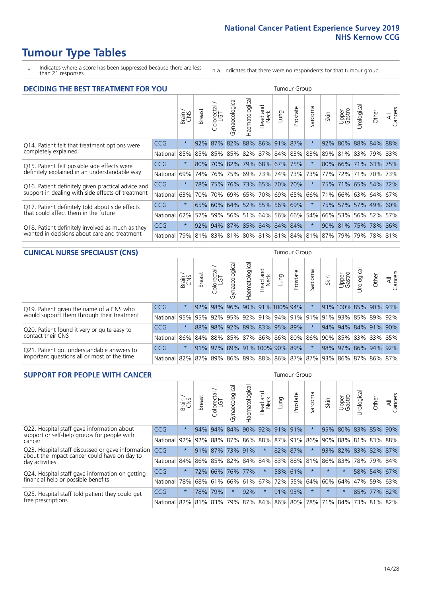- \* Indicates where a score has been suppressed because there are less than 21 responses.
- n.a. Indicates that there were no respondents for that tumour group.

| <b>DECIDING THE BEST TREATMENT FOR YOU</b>         |            |         |               |                            |                |                |                        |                                   | <b>Tumour Group</b> |                                         |      |                 |            |                       |                |
|----------------------------------------------------|------------|---------|---------------|----------------------------|----------------|----------------|------------------------|-----------------------------------|---------------------|-----------------------------------------|------|-----------------|------------|-----------------------|----------------|
|                                                    |            | Brain   | <b>Breast</b> | olorectal<br>LGT<br>$\cup$ | Gynaecological | Haematological | ad and<br>Neck<br>Head | Lung                              | Prostate            | arcoma<br>vĀ                            | Skin | Upper<br>Gastro | Jrological | Other                 | All<br>Cancers |
| Q14. Patient felt that treatment options were      | <b>CCG</b> | $\star$ | 92%           | 87%                        | 82%            |                |                        | 88% 86% 91%                       | 87%                 | $\star$                                 | 92%  | 80%             |            | 88% 84%               | 88%            |
| completely explained                               | National   | 85%     | 85%           | 85%                        |                |                |                        | 85%   82%   87%   84%   83%   83% |                     |                                         | 89%  |                 |            | 81% 83% 79% 83%       |                |
| Q15. Patient felt possible side effects were       | <b>CCG</b> | $\star$ | 80%           | <b>70%</b>                 |                |                |                        | 82% 79% 68% 67% 75%               |                     |                                         | 80%  |                 |            | 66% 71% 63% 75%       |                |
| definitely explained in an understandable way      | National   | 69%     | 74%           | 76%                        |                | 75% 69%        | 73%                    |                                   | 74% 73%             | 73%                                     | 77%  | 72%             | 71%        | 70% 73%               |                |
| Q16. Patient definitely given practical advice and | <b>CCG</b> | $\star$ |               | 78% 75%                    |                |                |                        | 76% 73% 65% 70% 70%               |                     | 大                                       |      |                 |            | 75% 71% 65% 54% 72%   |                |
| support in dealing with side effects of treatment  | National   | 63%     | 70%           | 70%                        |                |                | 69% 65% 70%            |                                   | 69% 65%             | 66%                                     | 71%  |                 |            | 66%   63%   64%   67% |                |
| Q17. Patient definitely told about side effects    | CCG        | $\star$ | 65%           |                            |                |                |                        | 60% 64% 52% 55% 56% 69%           |                     | $\ast$                                  |      |                 |            | 75% 57% 57% 49% 60%   |                |
| that could affect them in the future               | National   | 62%     | 57%           | 59%                        |                |                |                        | 56% 51% 64% 56% 66%               |                     | 54%                                     | 66%  |                 |            | 53% 56% 52%           | 57%            |
| Q18. Patient definitely involved as much as they   | <b>CCG</b> | $\star$ |               |                            |                |                |                        | 92% 94% 87% 85% 84% 84% 84%       |                     | $\ast$                                  |      |                 |            | 90% 81% 75% 78% 86%   |                |
| wanted in decisions about care and treatment       | National   | 79%     |               |                            |                |                |                        |                                   |                     | 81% 83% 81% 80% 81% 81% 84% 81% 87% 79% |      |                 |            | 79% 78% 81%           |                |

### **CLINICAL NURSE SPECIALIST (CNS)** Tumour Group

|                                             |          | Brain<br>CNS | <b>Breast</b>         | Colorectal<br>LGT | Gynaecological | ᠊ᢛ<br>Ü<br>Haematologi | Head and<br>Neck    | Lung | Prostate | Sarcoma | Skin | Upper<br>Gastro                 | ᠊ᢛ<br>Irologica | Other                                               | All<br>ancers<br>$\cup$ |
|---------------------------------------------|----------|--------------|-----------------------|-------------------|----------------|------------------------|---------------------|------|----------|---------|------|---------------------------------|-----------------|-----------------------------------------------------|-------------------------|
| Q19. Patient given the name of a CNS who    | CCG      | $\star$      | 92%                   | 98%               | 96%            |                        | 90% 91% 100% 94%    |      |          |         |      |                                 |                 | 93% 100% 85% 90% 93%                                |                         |
| would support them through their treatment  | National |              | 95% 95% 92% 95%       |                   |                |                        |                     |      |          |         |      | 92% 91% 94% 91% 91% 91% 92% 85% |                 | 89%                                                 | 92%                     |
| Q20. Patient found it very or quite easy to | CCG      | $\star$      |                       | 88% 98%           |                |                        | 92% 89% 83% 95% 89% |      |          | $\star$ |      |                                 |                 | 94% 94% 84% 91%                                     | 90%                     |
| contact their CNS                           | National |              |                       |                   |                |                        |                     |      |          |         |      |                                 |                 | 86% 84% 88% 85% 87% 86% 86% 80% 86% 90% 85% 83% 83% | 85%                     |
| Q21. Patient got understandable answers to  | CCG      | $\star$      |                       | $91\%$ 97%        | 89%            |                        | 91% 100% 90% 89%    |      |          | $\star$ |      | 98% 97%                         |                 | 86% 94% 92%                                         |                         |
| important questions all or most of the time | National |              | 82%   87%   89%   86% |                   |                |                        |                     |      |          |         |      |                                 |                 | 89% 88% 86% 87% 87% 93% 86% 87% 86%                 | 87%                     |

| <b>SUPPORT FOR PEOPLE WITH CANCER</b>                                                             |                          |         |               |                 |                |                 |                        |      | Tumour Group |         |                         |                 |            |             |                |
|---------------------------------------------------------------------------------------------------|--------------------------|---------|---------------|-----------------|----------------|-----------------|------------------------|------|--------------|---------|-------------------------|-----------------|------------|-------------|----------------|
|                                                                                                   |                          | Brain   | <b>Breast</b> | ∼<br>Colorectal | Gynaecological | Haematological  | ad and<br>Neck<br>Head | Lung | Prostate     | Sarcoma | Skin                    | Upper<br>Gastro | Jrological | Other       | All<br>Cancers |
| Q22. Hospital staff gave information about<br>support or self-help groups for people with         | CCG                      | $\star$ | 94%           | 94%             | 84%            | 90%             | 92%                    | 91%  | 91%          | $\star$ | 95%                     |                 |            | 80% 83% 85% | 90%            |
| cancer                                                                                            | National                 | 92%     | 92%           | 88%             | 87%            |                 | 86% 88% 87% 91%        |      |              | 86%     | 90%                     |                 |            | 88% 81% 83% | 88%            |
| Q23. Hospital staff discussed or gave information<br>about the impact cancer could have on day to | CCG                      | $\star$ | 91%           | 87%             | 73%            | 91%             | $\star$                |      | 82% 87%      | $\ast$  | 93%                     | 82%             |            | 83% 82% 87% |                |
| day activities                                                                                    | National                 | 84%     |               |                 |                | 86% 85% 82% 84% | 84%                    |      | 83% 88%      | 81%     | 86%                     | 83%             |            | 78% 79%     | 84%            |
| Q24. Hospital staff gave information on getting                                                   | CCG                      | $\star$ | 72%           | 66%             | 76%            | 77%             | $\star$                |      | 58% 61%      | $\star$ | $\star$                 | $\star$         |            | 58% 54% 67% |                |
| financial help or possible benefits                                                               | National                 | 78%     |               | 68% 61%         |                | 66% 61% 67%     |                        |      | 72% 55%      | 64%     | 60%                     | 64%             | 47%        | 59%         | 63%            |
| Q25. Hospital staff told patient they could get                                                   | <b>CCG</b>               | $\star$ | 78%           | 79%             | $\star$        | 92%             | $\star$                | 91%  | 93%          | $\star$ | $\star$                 | $\star$         | 85%        | $77\%$      | 82%            |
| free prescriptions                                                                                | National 82% 81% 83% 79% |         |               |                 |                | 87% 84% 86% 80% |                        |      |              |         | 78% 71% 84% 73% 81% 82% |                 |            |             |                |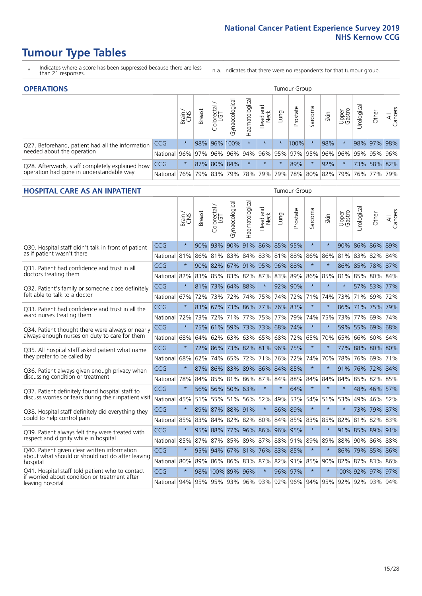- \* Indicates where a score has been suppressed because there are less than 21 responses.
- n.a. Indicates that there were no respondents for that tumour group.

| <b>OPERATIONS</b>                                |              |              |               |                   |                |                |                  |          | Tumour Group                           |         |      |                 |            |             |                |
|--------------------------------------------------|--------------|--------------|---------------|-------------------|----------------|----------------|------------------|----------|----------------------------------------|---------|------|-----------------|------------|-------------|----------------|
|                                                  |              | Brain<br>CNS | <b>Breast</b> | Colorectal<br>LGT | Gynaecological | Haematological | Head and<br>Neck | Lung     | Prostate                               | Sarcoma | Skin | Upper<br>Gastro | Jrological | Other       | All<br>Cancers |
| Q27. Beforehand, patient had all the information | <b>CCG</b>   | $\star$      |               |                   | 98% 96% 100%   | $\star$        | $\star$          | $^\star$ | 100%                                   |         | 98%  |                 |            | 98% 97% 98% |                |
| needed about the operation                       | National I   | 96%          |               | 97% 96%           |                | 96% 94%        |                  |          | 96% 95% 97% 95% 96%                    |         |      | 96%             |            | 95% 95% 96% |                |
| Q28. Afterwards, staff completely explained how  | <b>CCG</b>   | $\star$      |               |                   | 87% 80% 84%    | $\star$        | $\star$          | $\star$  | 89%                                    |         | 92%  |                 |            | 73% 58% 82% |                |
| operation had gone in understandable way         | National 76% |              |               | 79% 83%           |                |                |                  |          | 79%  78%  79%  79%  78%  80%  82%  79% |         |      |                 |            | 76% 77% 79% |                |

#### **HOSPITAL CARE AS AN INPATIENT** Tumour Group

|                                                                                                  |              | Brain   | Breast | Colorectal /<br>LGT         | Gynaecological | Haematological          | Head and<br>Neck | Lung        | Prostate | Sarcoma | Skin    | Upper<br>Gastro                                     | Urological | Other            | All<br>Cancers |
|--------------------------------------------------------------------------------------------------|--------------|---------|--------|-----------------------------|----------------|-------------------------|------------------|-------------|----------|---------|---------|-----------------------------------------------------|------------|------------------|----------------|
| Q30. Hospital staff didn't talk in front of patient                                              | CCG          | $\star$ | 90%    |                             |                | 93% 90% 91% 86% 85%     |                  |             | 95%      | $\star$ | $\star$ |                                                     |            | 90% 86% 86% 89%  |                |
| as if patient wasn't there                                                                       | National     | 81%     | 86%    | 81%                         | 83%            | 84%                     |                  | 83% 81%     | 88%      | 86%     | 86%     | 81%                                                 | 83%        | 82%              | 84%            |
| 031. Patient had confidence and trust in all                                                     | CCG          | $\star$ | 90%    | 82%                         |                | 67% 91% 95% 96% 88%     |                  |             |          | $\star$ | $\star$ | 86%                                                 | 85%        | 78% 87%          |                |
| doctors treating them                                                                            | National     | 82%     |        | 83% 85% 83% 82% 87% 83% 89% |                |                         |                  |             |          | 86%     | 85%     | 81%                                                 | 85%        | 80% 84%          |                |
| Q32. Patient's family or someone close definitely                                                | CCG          | $\star$ | 81%    | 73% 64% 88%                 |                |                         | $\star$          | 92%         | 90%      | $\star$ | $\star$ | $\star$                                             |            | 57% 53% 77%      |                |
| felt able to talk to a doctor                                                                    | National     | 67%     | 72%    | 73%                         |                | 72% 74%                 |                  | 75% 74%     | 72%      | 71%     | 74%     | 73%                                                 | 71%        | 69%              | 72%            |
| Q33. Patient had confidence and trust in all the                                                 | CCG          | $\star$ |        | 83% 67% 73% 86% 77% 76% 83% |                |                         |                  |             |          | $\star$ | $\ast$  |                                                     |            | 86% 71% 75% 79%  |                |
| ward nurses treating them                                                                        | National     | 72%     | 73%    | 72%                         | 71%            | 77%                     | 75%              | 77%         | 79%      | 74%     | 75%     |                                                     | 73% 77%    | 69%              | 74%            |
| Q34. Patient thought there were always or nearly                                                 | CCG          | $\star$ | 75%    | 61%                         | 59%            | 73% 73%                 |                  | 68%         | 74%      | $\star$ | $\star$ | 59%                                                 | 55% 69%    |                  | 68%            |
| always enough nurses on duty to care for them                                                    | National     | 68%     | 64%    | 62%                         | 63%            | 63%                     | 65%              | 68%         | 72%      | 65%     | 70%     | 65%                                                 | 66%        | 60%              | 64%            |
| Q35. All hospital staff asked patient what name                                                  | CCG          | $\star$ | 72%    |                             |                | 86% 73% 82% 81% 96% 75% |                  |             |          | $\star$ |         |                                                     |            | 77% 88% 80% 80%  |                |
| they prefer to be called by                                                                      | National     | 68%     | 62%    | 74% 65%                     |                | 72%                     |                  | 71% 76%     | 72%      | 74%     | 70%     | 78%                                                 | 76%        | 69%              | 71%            |
| Q36. Patient always given enough privacy when                                                    | CCG          | $\star$ |        | 87% 86% 83% 89% 86% 84% 85% |                |                         |                  |             |          | $\star$ | $\star$ | 91%                                                 |            | 76% 72% 84%      |                |
| discussing condition or treatment                                                                | National     | 78%     | 84%    | 85% 81% 86% 87% 84%         |                |                         |                  |             | 88%      | 84%     | 84%     | 84%                                                 | 85%        | 82%              | 85%            |
| Q37. Patient definitely found hospital staff to                                                  | CCG          | $\star$ | 56%    | 56%                         | 50% 63%        |                         | $\star$          | $\star$     | 64%      | $\star$ | $\star$ | $\star$                                             |            | 48% 46%          | 57%            |
| discuss worries or fears during their inpatient visit                                            | National     | 45%     |        | 51% 55% 51% 56% 52% 49%     |                |                         |                  |             | 53%      |         |         | 54% 51% 53%                                         | 49%        | 46% 52%          |                |
| Q38. Hospital staff definitely did everything they                                               | CCG          | $\star$ |        | 89% 87% 88% 91%             |                |                         | $\star$          |             | 86% 89%  | $\star$ | $\star$ | $\star$                                             |            | 73% 79% 87%      |                |
| could to help control pain                                                                       | National     | 85%     | 83%    | 84%                         | 82%            | 82%                     | 80%              | 84%         | 85%      | 83%     | 85%     | 82%                                                 | 81%        | 82%              | 83%            |
| Q39. Patient always felt they were treated with                                                  | CCG          | $\star$ | 95%    | 88%                         |                | 77% 96% 86% 96%         |                  |             | 95%      | $\star$ | $\star$ |                                                     |            | 91% 85% 89% 91%  |                |
| respect and dignity while in hospital                                                            | National 85% |         |        | 87% 87% 85% 89% 87% 88% 91% |                |                         |                  |             |          | 89%     | 89%     |                                                     |            | 88% 90% 86% 88%  |                |
| Q40. Patient given clear written information<br>about what should or should not do after leaving | CCG          | $\star$ | 95%    | 94%                         | 67%            | 81% 76% 83%             |                  |             | 85%      | $\star$ | $\ast$  | 86%                                                 |            | 79% 85% 86%      |                |
| hospital                                                                                         | National 80% |         | 89%    |                             | 86% 86%        |                         |                  | 83% 87% 82% | 91%      | 85%     | 90%     |                                                     | 82% 87%    | 83% 86%          |                |
| Q41. Hospital staff told patient who to contact<br>if worried about condition or treatment after | CCG          | $\star$ |        | 98% 100% 89% 96%            |                |                         | $\star$          |             | 96% 97%  | $\star$ |         |                                                     |            | 100% 92% 97% 97% |                |
| leaving hospital                                                                                 | National 94% |         |        |                             |                |                         |                  |             |          |         |         | 95% 95% 93% 96% 93% 92% 96% 94% 95% 92% 92% 93% 94% |            |                  |                |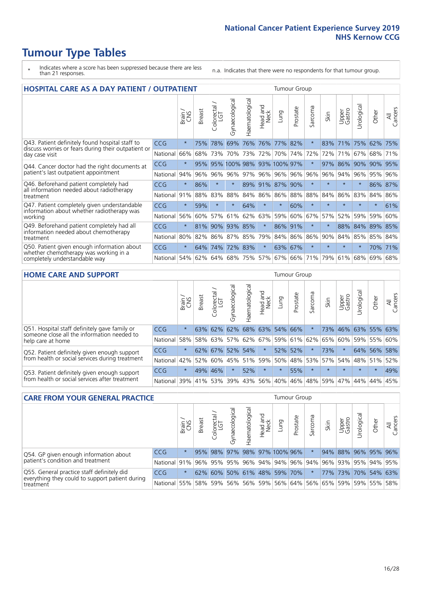- \* Indicates where a score has been suppressed because there are less than 21 responses.
- n.a. Indicates that there were no respondents for that tumour group.

| <b>HOSPITAL CARE AS A DAY PATIENT / OUTPATIENT</b>                                   |            |         |               |                        |                       |                |                         |                 | <b>Tumour Group</b> |                          |         |                 |            |         |                |
|--------------------------------------------------------------------------------------|------------|---------|---------------|------------------------|-----------------------|----------------|-------------------------|-----------------|---------------------|--------------------------|---------|-----------------|------------|---------|----------------|
|                                                                                      |            | Brain   | <b>Breast</b> | ╮<br>Colorectal<br>LGT | Gynaecological        | Haematological | ead and<br>Neck<br>Head | Lung            | Prostate            | arcoma<br>$\overline{2}$ | Skin    | Upper<br>Gastro | Urological | Other   | All<br>Cancers |
| Q43. Patient definitely found hospital staff to                                      | CCG        | $\star$ | 75%           | 78%                    | 69%                   | 76%            | 76%                     | 77%             | 82%                 | $\star$                  | 83%     | 71%             | 75%        | 62%     | 75%            |
| discuss worries or fears during their outpatient or<br>day case visit                | National   | 66%     | 68%           | 73%                    | 70%                   | 73%            | 72%                     | 70%             | 74%                 | 72%                      | 72%     | 71%             | 67%        | 68%     | 71%            |
| Q44. Cancer doctor had the right documents at                                        | <b>CCG</b> | $\star$ | 95%           | 95%                    | 100% 98% 93% 100% 97% |                |                         |                 |                     | $\star$                  | 97%     | 86%             | 90%        | 90%     | 95%            |
| patient's last outpatient appointment                                                | National   | 94%     | 96%           | 96%                    | 96%                   | 97%            |                         | 96% 96% 96%     |                     | 96%                      | 96%     | 94%             | 96%        | 95%     | 96%            |
| Q46. Beforehand patient completely had                                               | <b>CCG</b> | $\star$ | 86%           | $\star$                | $\star$               |                |                         | 89% 91% 87% 90% |                     | $\star$                  | $\star$ | $\star$         | $\star$    | 86% 87% |                |
| all information needed about radiotherapy<br>treatment                               | National   | 91%     | 88%           | 83%                    | 88%                   | 84%            | 86%                     | 86%             | 88%                 | 88%                      | 84%     | 86%             | 83%        | 84%     | 86%            |
| Q47. Patient completely given understandable                                         | CCG        | $\star$ | 59%           |                        | $\star$               | 64%            | $\star$                 | $\star$         | 60%                 | $\star$                  |         | $\star$         | $\star$    | $\star$ | 61%            |
| information about whether radiotherapy was<br>working                                | National   | 56%     | 60%           | 57%                    | 61%                   | 62%            | 63%                     | 59%             | 60%                 | 67%                      | 57%     | 52%             | 59%        | 59%     | 60%            |
| Q49. Beforehand patient completely had all                                           | CCG        | $\star$ | 81%           | 90%                    | 93%                   | 85%            | $\star$                 | 86%             | 91%                 | $\ast$                   |         | 88%             | 84%        | 89%     | 85%            |
| information needed about chemotherapy<br>treatment                                   | National   | 80%     | 82%           | 86%                    | 87% 85%               |                | 79%                     | 84% 86%         |                     | 86%                      | 90%     | 84%             | 85%        | 85%     | 84%            |
| Q50. Patient given enough information about<br>whether chemotherapy was working in a | <b>CCG</b> | $\star$ | 64%           | 74%                    | 72%                   | 83%            | $\ast$                  | 63%             | 67%                 | $\star$                  | $\star$ | $\star$         | $\star$    | 70%     | 71%            |
| completely understandable way                                                        | National   | 54%     | 62%           | 64%                    | 68%                   | 75%            |                         | 57% 67%         | 66%                 | 71%                      | 79%     | 61%             | 68%        | 69%     | 68%            |

#### **HOME CARE AND SUPPORT** Tumour Group

|                                                                                                                   |            | Brain   | <b>Breast</b> | Colorectal<br>LGT | Gynaecologic | Haematological | Head and<br>Neck | <b>Lung</b> | Prostate        | Sarcoma | Skin    | Upper<br>Gastro | Urological      | Other   | All<br>Cancers |
|-------------------------------------------------------------------------------------------------------------------|------------|---------|---------------|-------------------|--------------|----------------|------------------|-------------|-----------------|---------|---------|-----------------|-----------------|---------|----------------|
| Q51. Hospital staff definitely gave family or<br>someone close all the information needed to<br>help care at home | <b>CCG</b> | $\star$ | 63%           | 62%               | 62%          |                | 68% 63% 54% 66%  |             |                 |         |         | 73% 46%         | 63% 55% 63%     |         |                |
|                                                                                                                   | National   | 58%     |               | 58% 63%           | 57%          |                |                  |             | 62% 67% 59% 61% | 62%     | 65%     |                 | 60% 59% 55% 60% |         |                |
| Q52. Patient definitely given enough support<br>from health or social services during treatment                   | <b>CCG</b> | $\star$ |               | 62% 67%           |              | 52% 54%        | $\star$          | 52%         | 52%             |         | 73%     | $\star$         |                 | 64% 56% | 58%            |
|                                                                                                                   | National   | 42%     | 52%           | 60%               | 45%          | 51% 59% 50%    |                  |             | 48%             | 53%     | 57%     | 54%             | 48% 51%         |         | 52%            |
| Q53. Patient definitely given enough support<br>from health or social services after treatment                    | <b>CCG</b> | $\star$ |               | 49% 46%           |              | 52%            | $\star$          | $\star$     | 55%             | $\star$ | $\star$ | $\star$         | $\star$         | $\star$ | 49%            |
|                                                                                                                   | National   | 39%     |               | 41% 53%           | 39%          | 43%            |                  | 56% 40%     | 46%             | 48%     | 59%     | 47%             | 44%             | 44%     | 45%            |

| <b>CARE FROM YOUR GENERAL PRACTICE</b>                                                                     |              |         |               |                   |               |                |                  | <b>Tumour Group</b>                                     |          |         |      |                 |                       |       |                |  |
|------------------------------------------------------------------------------------------------------------|--------------|---------|---------------|-------------------|---------------|----------------|------------------|---------------------------------------------------------|----------|---------|------|-----------------|-----------------------|-------|----------------|--|
|                                                                                                            |              | Brain,  | <b>Breast</b> | Colorectal<br>LGT | Gynaecologica | Haematological | Head and<br>Neck | Lung                                                    | Prostate | Sarcoma | Skin | Upper<br>Gastro | $\sigma$<br>Urologica | Other | All<br>Cancers |  |
| Q54. GP given enough information about<br>patient's condition and treatment                                | CCG          | $\star$ |               | 95% 98%           |               |                |                  | 97% 98% 97% 100% 96%                                    |          |         |      |                 | 94% 88% 96% 95% 96%   |       |                |  |
|                                                                                                            | National 91% |         |               |                   |               |                |                  | 96% 95% 95% 96% 94% 94% 96% 94% 96% 93% 93% 95% 94% 95% |          |         |      |                 |                       |       |                |  |
| Q55. General practice staff definitely did<br>everything they could to support patient during<br>treatment | <b>CCG</b>   | $\star$ |               | 62% 60%           |               |                |                  | 50% 61% 48% 59% 70%                                     |          | $\star$ |      |                 | 77% 73% 70% 54% 63%   |       |                |  |
|                                                                                                            | National 55% |         |               |                   |               |                |                  | 58% 59% 56% 56% 59% 56% 64% 56% 65% 59% 59% 55% 58%     |          |         |      |                 |                       |       |                |  |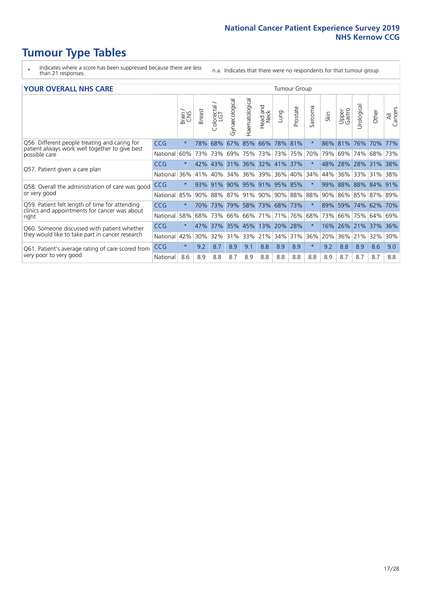- \* Indicates where a score has been suppressed because there are less than 21 responses.
- n.a. Indicates that there were no respondents for that tumour group.

#### **YOUR OVERALL NHS CARE** THE CONSTRUCTION OF THE THROUP GROUP TUMOUR GROUP

| I YYIN YENALL INIIY GANL                                                                                         |            |              |               |                       |                     |                |                                 |                 |          |                      |      |                 |                |                 |                |
|------------------------------------------------------------------------------------------------------------------|------------|--------------|---------------|-----------------------|---------------------|----------------|---------------------------------|-----------------|----------|----------------------|------|-----------------|----------------|-----------------|----------------|
|                                                                                                                  |            | Brain<br>CNS | <b>Breast</b> | olorectal<br>LGT<br>Ū | Gynaecological      | Haematological | <b>Bad and<br/>Neck</b><br>Head | Lung            | Prostate | arcoma<br>$\sqrt{ }$ | Skin | Upper<br>Gastro | लु<br>Urologia | Other           | All<br>Cancers |
| Q56. Different people treating and caring for<br>patient always work well together to give best<br>possible care | <b>CCG</b> | $\star$      | 78%           | 68%                   | 67%                 | 85%            | 66%                             | 78% 81%         |          | $\star$              | 86%  | 81%             | 76%            | 70%             | 77%            |
|                                                                                                                  | National   | 60%          | 73%           | 73%                   | 69%                 |                | 75% 73%                         | 73% 75%         |          | 70%                  | 79%  | 69%             | 74%            | 68%             | 73%            |
| Q57. Patient given a care plan                                                                                   | <b>CCG</b> | $\star$      |               | 42% 43%               | 31% 36% 32% 41% 37% |                |                                 |                 |          | $\ast$               | 48%  |                 |                | 28% 28% 31% 38% |                |
|                                                                                                                  | National   | 36%          | 41%           | 40%                   | 34%                 |                | 36% 39%                         | 36%             | 40%      | 34%                  | 44%  | 36%             | 33%            | 31%             | 38%            |
| Q58. Overall the administration of care was good<br>or very good                                                 | <b>CCG</b> | $\star$      | 93%           | 91%                   |                     | 90% 95% 91%    |                                 | 95% 85%         |          | $\star$              | 99%  | 88%             | 88%            | 84%             | 91%            |
|                                                                                                                  | National   | 85%          | 90%           | 88%                   | 87%                 | 91% 90%        |                                 | 90% 88%         |          | 88%                  | 90%  |                 |                | 86% 85% 87%     | 89%            |
| Q59. Patient felt length of time for attending<br>clinics and appointments for cancer was about<br>right         | <b>CCG</b> | $\star$      | 70%           | 73%                   | 79%                 |                |                                 | 58% 73% 68% 73% |          | $\star$              |      | 89% 59%         | 74% 62%        |                 | 70%            |
|                                                                                                                  | National   | 58%          | 68%           | 73%                   | 66%                 | 66%            | 171%                            | 71%             | 76%      | 68%                  | 73%  | 66%             | 75%            | 64%             | 69%            |
| Q60. Someone discussed with patient whether<br>they would like to take part in cancer research                   | <b>CCG</b> | $\star$      | 47%           | 37%                   |                     | 35% 45%        | 13%                             | 20%             | 28%      | $\star$              | 16%  | 26%             | 21%            | 37%             | 36%            |
|                                                                                                                  | National   | 42%          | 30%           | 32%                   | 31%                 |                | 33% 21%                         | 34%             | 31%      | 36%                  | 20%  | 36%             | 21%            | 32%             | 30%            |
| Q61. Patient's average rating of care scored from<br>very poor to very good                                      | <b>CCG</b> | $\star$      | 9.2           | 8.7                   | 8.9                 | 9.1            | 8.8                             | 8.9             | 8.9      | $\star$              | 9.2  | 8.8             | 8.9            | 8.6             | 9.0            |
|                                                                                                                  | National   | 8.6          | 8.9           | 8.8                   | 8.7                 | 8.9            | 8.8                             | 8.8             | 8.8      | 8.8                  | 8.9  | 8.7             | 8.7            | 8.7             | 8.8            |
|                                                                                                                  |            |              |               |                       |                     |                |                                 |                 |          |                      |      |                 |                |                 |                |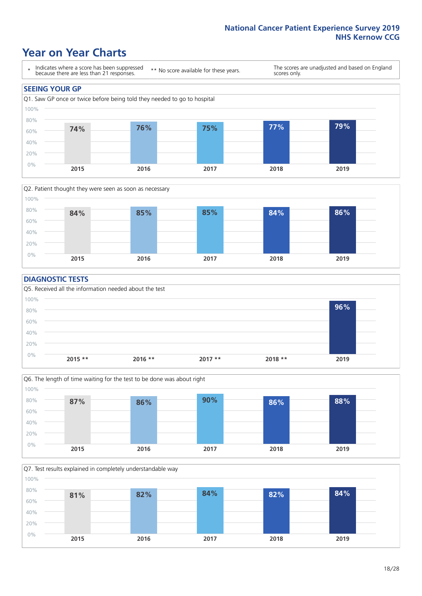# **Year on Year Charts**





#### **DIAGNOSTIC TESTS**





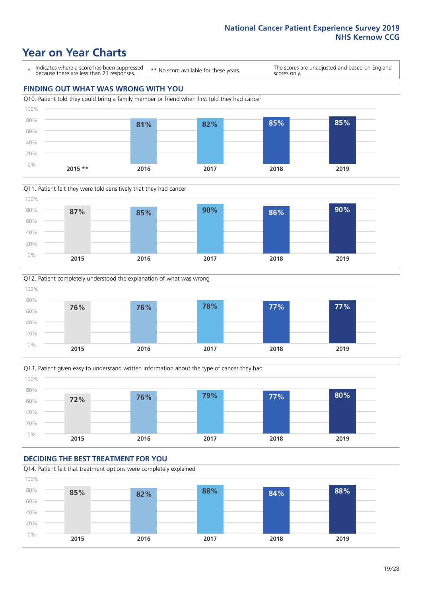# **Year on Year Charts**

\* Indicates where a score has been suppressed because there are less than 21 responses.

\*\* No score available for these years.

The scores are unadjusted and based on England scores only.









#### **DECIDING THE BEST TREATMENT FOR YOU**

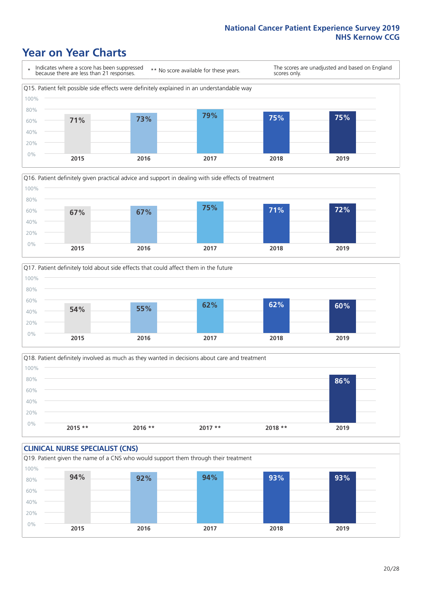# **Year on Year Charts**







Q18. Patient definitely involved as much as they wanted in decisions about care and treatment  $0%$ 20% 40% 60% 80% 100% **2015 \*\* 2016 \*\* 2017 \*\* 2018 \*\* 2019 86%**

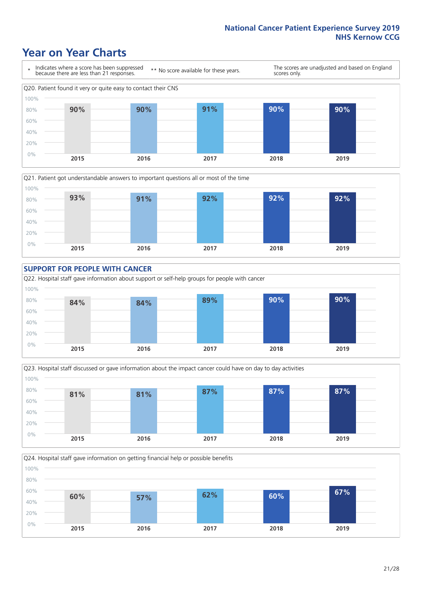# **Year on Year Charts**









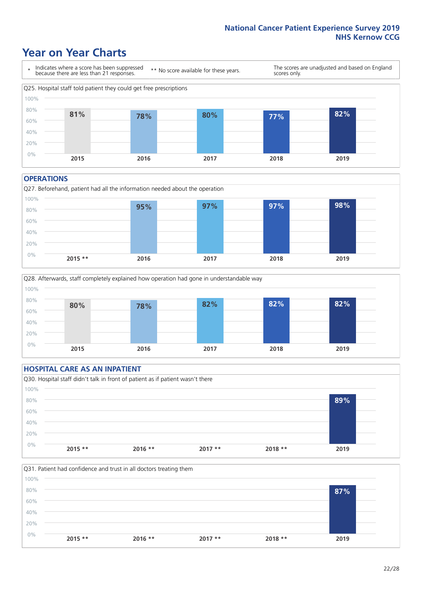# **Year on Year Charts**



#### **OPERATIONS**





### **HOSPITAL CARE AS AN INPATIENT** Q30. Hospital staff didn't talk in front of patient as if patient wasn't there 0% 20% 40% 60% 80% 100% **2015 \*\* 2016 \*\* 2017 \*\* 2018 \*\* 2019 89%**

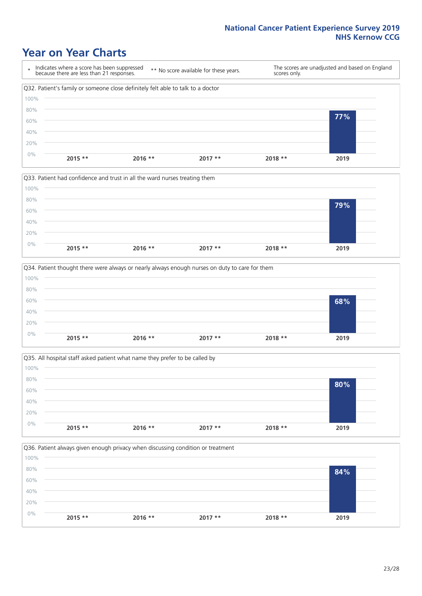# **Year on Year Charts**









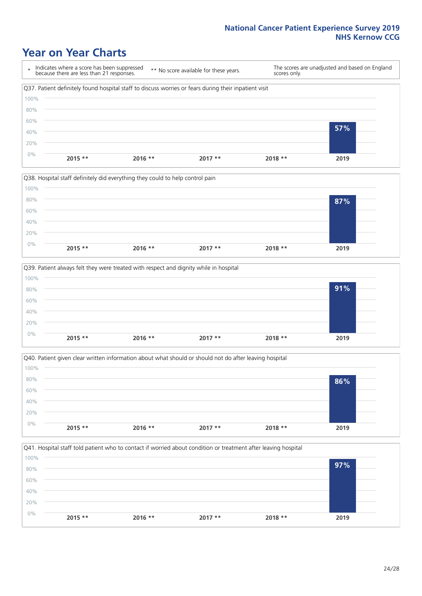# **Year on Year Charts**









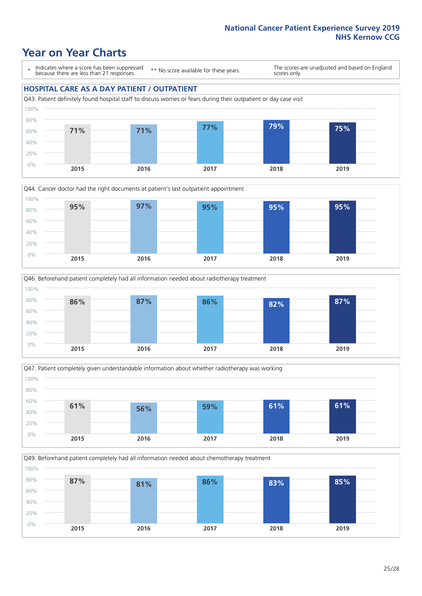# **Year on Year Charts**

\* Indicates where a score has been suppressed because there are less than 21 responses.

\*\* No score available for these years.

The scores are unadjusted and based on England scores only.

#### **HOSPITAL CARE AS A DAY PATIENT / OUTPATIENT**









Q49. Beforehand patient completely had all information needed about chemotherapy treatment 60% 80% 100% **87% 81% 86% 83% 85%**

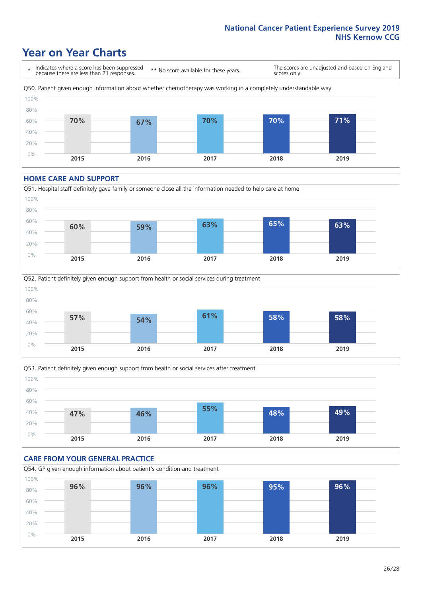# **Year on Year Charts**

\* Indicates where a score has been suppressed because there are less than 21 responses. \*\* No score available for these years. The scores are unadjusted and based on England scores only. Q50. Patient given enough information about whether chemotherapy was working in a completely understandable way 0% 20% 40% 60% 80% 100% **2015 2016 2017 2018 2019 70% 67% 70% 70% 71%**

#### **HOME CARE AND SUPPORT**







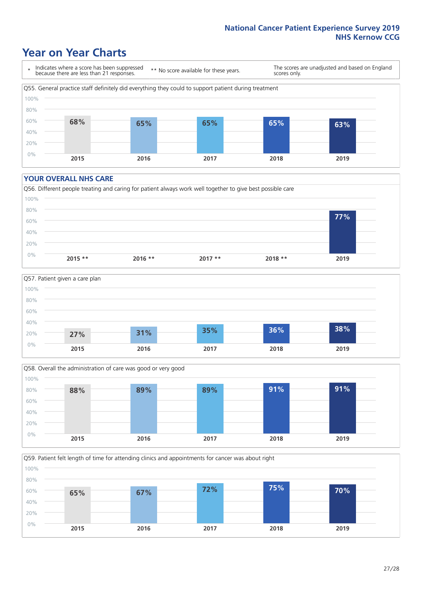# **Year on Year Charts**

\* Indicates where a score has been suppressed because there are less than 21 responses.

\*\* No score available for these years.

The scores are unadjusted and based on England scores only.

![](_page_26_Figure_5.jpeg)

#### **YOUR OVERALL NHS CARE**

![](_page_26_Figure_7.jpeg)

![](_page_26_Figure_8.jpeg)

![](_page_26_Figure_9.jpeg)

Q59. Patient felt length of time for attending clinics and appointments for cancer was about right

![](_page_26_Figure_11.jpeg)